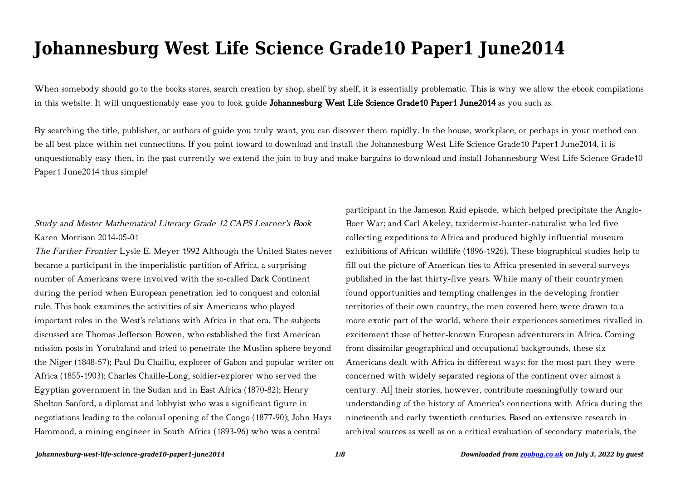# **Johannesburg West Life Science Grade10 Paper1 June2014**

When somebody should go to the books stores, search creation by shop, shelf by shelf, it is essentially problematic. This is why we allow the ebook compilations in this website. It will unquestionably ease you to look guide Johannesburg West Life Science Grade10 Paper1 June2014 as you such as.

By searching the title, publisher, or authors of guide you truly want, you can discover them rapidly. In the house, workplace, or perhaps in your method can be all best place within net connections. If you point toward to download and install the Johannesburg West Life Science Grade10 Paper1 June2014, it is unquestionably easy then, in the past currently we extend the join to buy and make bargains to download and install Johannesburg West Life Science Grade10 Paper1 June2014 thus simple!

## Study and Master Mathematical Literacy Grade 12 CAPS Learner's Book Karen Morrison 2014-05-01

The Farther Frontier Lysle E. Meyer 1992 Although the United States never became a participant in the imperialistic partition of Africa, a surprising number of Americans were involved with the so-called Dark Continent during the period when European penetration led to conquest and colonial rule. This book examines the activities of six Americans who played important roles in the West's relations with Africa in that era. The subjects discussed are Thomas Jefferson Bowen, who established the first American mission posts in Yorubaland and tried to penetrate the Muslim sphere beyond the Niger (1848-57); Paul Du Chaillu, explorer of Gabon and popular writer on Africa (1855-1903); Charles Chaille-Long, soldier-explorer who served the Egyptian government in the Sudan and in East Africa (1870-82); Henry Shelton Sanford, a diplomat and lobbyist who was a significant figure in negotiations leading to the colonial opening of the Congo (1877-90); John Hays Hammond, a mining engineer in South Africa (1893-96) who was a central

participant in the Jameson Raid episode, which helped precipitate the Anglo-Boer War; and Carl Akeley, taxidermist-hunter-naturalist who led five collecting expeditions to Africa and produced highly influential museum exhibitions of African wildlife (1896-1926). These biographical studies help to fill out the picture of American ties to Africa presented in several surveys published in the last thirty-five years. While many of their countrymen found opportunities and tempting challenges in the developing frontier territories of their own country, the men covered here were drawn to a more exotic part of the world, where their experiences sometimes rivalled in excitement those of better-known European adventurers in Africa. Coming from dissimilar geographical and occupational backgrounds, these six Americans dealt with Africa in different ways: for the most part they were concerned with widely separated regions of the continent over almost a century. Al] their stories, however, contribute meaningfully toward our understanding of the history of America's connections with Africa during the nineteenth and early twentieth centuries. Based on extensive research in archival sources as well as on a critical evaluation of secondary materials, the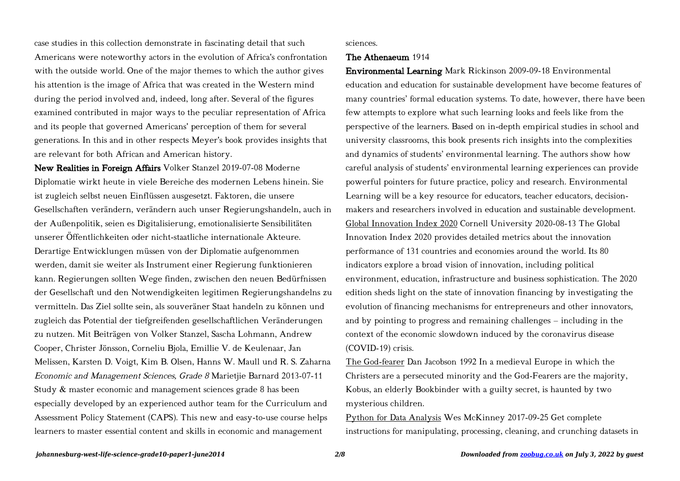case studies in this collection demonstrate in fascinating detail that such Americans were noteworthy actors in the evolution of Africa's confrontation with the outside world. One of the major themes to which the author gives his attention is the image of Africa that was created in the Western mind during the period involved and, indeed, long after. Several of the figures examined contributed in major ways to the peculiar representation of Africa and its people that governed Americans' perception of them for several generations. In this and in other respects Meyer's book provides insights that are relevant for both African and American history.

New Realities in Foreign Affairs Volker Stanzel 2019-07-08 Moderne Diplomatie wirkt heute in viele Bereiche des modernen Lebens hinein. Sie ist zugleich selbst neuen Einflüssen ausgesetzt. Faktoren, die unsere Gesellschaften verändern, verändern auch unser Regierungshandeln, auch in der Außenpolitik, seien es Digitalisierung, emotionalisierte Sensibilitäten unserer Öffentlichkeiten oder nicht-staatliche internationale Akteure. Derartige Entwicklungen müssen von der Diplomatie aufgenommen werden, damit sie weiter als Instrument einer Regierung funktionieren kann. Regierungen sollten Wege finden, zwischen den neuen Bedürfnissen der Gesellschaft und den Notwendigkeiten legitimen Regierungshandelns zu vermitteln. Das Ziel sollte sein, als souveräner Staat handeln zu können und zugleich das Potential der tiefgreifenden gesellschaftlichen Veränderungen zu nutzen. Mit Beiträgen von Volker Stanzel, Sascha Lohmann, Andrew Cooper, Christer Jönsson, Corneliu Bjola, Emillie V. de Keulenaar, Jan Melissen, Karsten D. Voigt, Kim B. Olsen, Hanns W. Maull und R. S. Zaharna Economic and Management Sciences, Grade 8 Marietjie Barnard 2013-07-11 Study & master economic and management sciences grade 8 has been especially developed by an experienced author team for the Curriculum and Assessment Policy Statement (CAPS). This new and easy-to-use course helps learners to master essential content and skills in economic and management

#### sciences.

### The Athenaeum 1914

Environmental Learning Mark Rickinson 2009-09-18 Environmental education and education for sustainable development have become features of many countries' formal education systems. To date, however, there have been few attempts to explore what such learning looks and feels like from the perspective of the learners. Based on in-depth empirical studies in school and university classrooms, this book presents rich insights into the complexities and dynamics of students' environmental learning. The authors show how careful analysis of students' environmental learning experiences can provide powerful pointers for future practice, policy and research. Environmental Learning will be a key resource for educators, teacher educators, decisionmakers and researchers involved in education and sustainable development. Global Innovation Index 2020 Cornell University 2020-08-13 The Global Innovation Index 2020 provides detailed metrics about the innovation performance of 131 countries and economies around the world. Its 80 indicators explore a broad vision of innovation, including political environment, education, infrastructure and business sophistication. The 2020 edition sheds light on the state of innovation financing by investigating the evolution of financing mechanisms for entrepreneurs and other innovators, and by pointing to progress and remaining challenges – including in the context of the economic slowdown induced by the coronavirus disease (COVID-19) crisis.

The God-fearer Dan Jacobson 1992 In a medieval Europe in which the Christers are a persecuted minority and the God-Fearers are the majority, Kobus, an elderly Bookbinder with a guilty secret, is haunted by two mysterious children.

Python for Data Analysis Wes McKinney 2017-09-25 Get complete instructions for manipulating, processing, cleaning, and crunching datasets in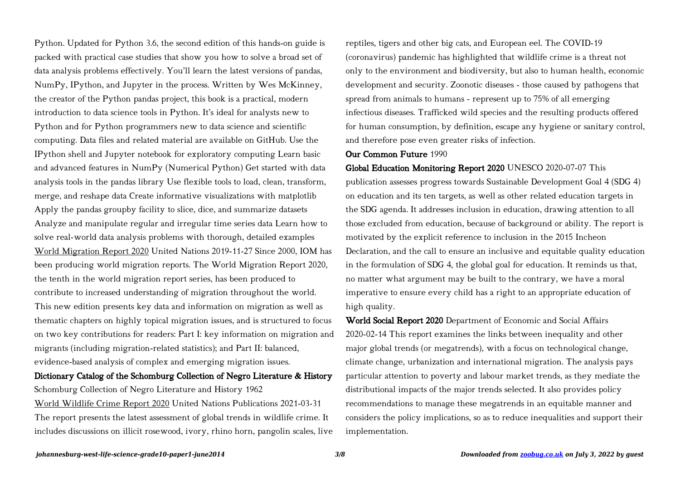Python. Updated for Python 3.6, the second edition of this hands-on guide is packed with practical case studies that show you how to solve a broad set of data analysis problems effectively. You'll learn the latest versions of pandas, NumPy, IPython, and Jupyter in the process. Written by Wes McKinney, the creator of the Python pandas project, this book is a practical, modern introduction to data science tools in Python. It's ideal for analysts new to Python and for Python programmers new to data science and scientific computing. Data files and related material are available on GitHub. Use the IPython shell and Jupyter notebook for exploratory computing Learn basic and advanced features in NumPy (Numerical Python) Get started with data analysis tools in the pandas library Use flexible tools to load, clean, transform, merge, and reshape data Create informative visualizations with matplotlib Apply the pandas groupby facility to slice, dice, and summarize datasets Analyze and manipulate regular and irregular time series data Learn how to solve real-world data analysis problems with thorough, detailed examples World Migration Report 2020 United Nations 2019-11-27 Since 2000, IOM has been producing world migration reports. The World Migration Report 2020, the tenth in the world migration report series, has been produced to contribute to increased understanding of migration throughout the world. This new edition presents key data and information on migration as well as thematic chapters on highly topical migration issues, and is structured to focus on two key contributions for readers: Part I: key information on migration and migrants (including migration-related statistics); and Part II: balanced, evidence-based analysis of complex and emerging migration issues.

# Dictionary Catalog of the Schomburg Collection of Negro Literature & History Schomburg Collection of Negro Literature and History 1962

World Wildlife Crime Report 2020 United Nations Publications 2021-03-31 The report presents the latest assessment of global trends in wildlife crime. It includes discussions on illicit rosewood, ivory, rhino horn, pangolin scales, live reptiles, tigers and other big cats, and European eel. The COVID-19 (coronavirus) pandemic has highlighted that wildlife crime is a threat not only to the environment and biodiversity, but also to human health, economic development and security. Zoonotic diseases - those caused by pathogens that spread from animals to humans - represent up to 75% of all emerging infectious diseases. Trafficked wild species and the resulting products offered for human consumption, by definition, escape any hygiene or sanitary control, and therefore pose even greater risks of infection.

### Our Common Future 1990

Global Education Monitoring Report 2020 UNESCO 2020-07-07 This publication assesses progress towards Sustainable Development Goal 4 (SDG 4) on education and its ten targets, as well as other related education targets in the SDG agenda. It addresses inclusion in education, drawing attention to all those excluded from education, because of background or ability. The report is motivated by the explicit reference to inclusion in the 2015 Incheon Declaration, and the call to ensure an inclusive and equitable quality education in the formulation of SDG 4, the global goal for education. It reminds us that, no matter what argument may be built to the contrary, we have a moral imperative to ensure every child has a right to an appropriate education of high quality.

World Social Report 2020 Department of Economic and Social Affairs 2020-02-14 This report examines the links between inequality and other major global trends (or megatrends), with a focus on technological change, climate change, urbanization and international migration. The analysis pays particular attention to poverty and labour market trends, as they mediate the distributional impacts of the major trends selected. It also provides policy recommendations to manage these megatrends in an equitable manner and considers the policy implications, so as to reduce inequalities and support their implementation.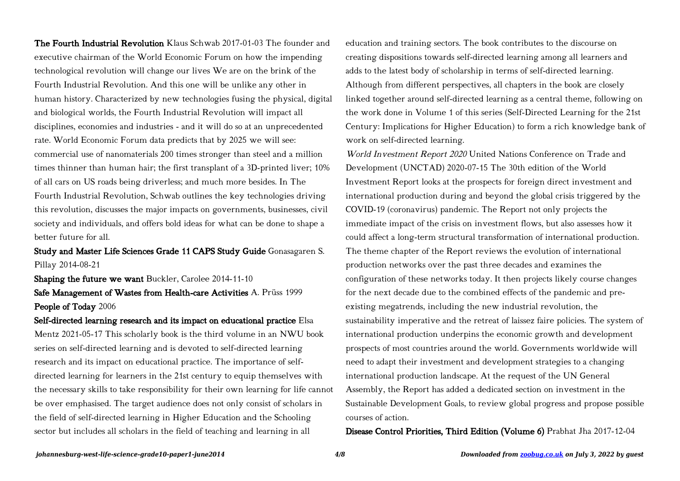The Fourth Industrial Revolution Klaus Schwab 2017-01-03 The founder and executive chairman of the World Economic Forum on how the impending technological revolution will change our lives We are on the brink of the Fourth Industrial Revolution. And this one will be unlike any other in human history. Characterized by new technologies fusing the physical, digital and biological worlds, the Fourth Industrial Revolution will impact all disciplines, economies and industries - and it will do so at an unprecedented rate. World Economic Forum data predicts that by 2025 we will see: commercial use of nanomaterials 200 times stronger than steel and a million times thinner than human hair; the first transplant of a 3D-printed liver; 10% of all cars on US roads being driverless; and much more besides. In The Fourth Industrial Revolution, Schwab outlines the key technologies driving this revolution, discusses the major impacts on governments, businesses, civil society and individuals, and offers bold ideas for what can be done to shape a better future for all.

### Study and Master Life Sciences Grade 11 CAPS Study Guide Gonasagaren S. Pillay 2014-08-21

Shaping the future we want Buckler, Carolee 2014-11-10 Safe Management of Wastes from Health-care Activities A. Prüss 1999 People of Today 2006

Self-directed learning research and its impact on educational practice Elsa Mentz 2021-05-17 This scholarly book is the third volume in an NWU book series on self-directed learning and is devoted to self-directed learning research and its impact on educational practice. The importance of selfdirected learning for learners in the 21st century to equip themselves with the necessary skills to take responsibility for their own learning for life cannot be over emphasised. The target audience does not only consist of scholars in the field of self-directed learning in Higher Education and the Schooling sector but includes all scholars in the field of teaching and learning in all

education and training sectors. The book contributes to the discourse on creating dispositions towards self-directed learning among all learners and adds to the latest body of scholarship in terms of self-directed learning. Although from different perspectives, all chapters in the book are closely linked together around self-directed learning as a central theme, following on the work done in Volume 1 of this series (Self-Directed Learning for the 21st Century: Implications for Higher Education) to form a rich knowledge bank of work on self-directed learning.

World Investment Report 2020 United Nations Conference on Trade and Development (UNCTAD) 2020-07-15 The 30th edition of the World Investment Report looks at the prospects for foreign direct investment and international production during and beyond the global crisis triggered by the COVID-19 (coronavirus) pandemic. The Report not only projects the immediate impact of the crisis on investment flows, but also assesses how it could affect a long-term structural transformation of international production. The theme chapter of the Report reviews the evolution of international production networks over the past three decades and examines the configuration of these networks today. It then projects likely course changes for the next decade due to the combined effects of the pandemic and preexisting megatrends, including the new industrial revolution, the sustainability imperative and the retreat of laissez faire policies. The system of international production underpins the economic growth and development prospects of most countries around the world. Governments worldwide will need to adapt their investment and development strategies to a changing international production landscape. At the request of the UN General Assembly, the Report has added a dedicated section on investment in the Sustainable Development Goals, to review global progress and propose possible courses of action.

Disease Control Priorities, Third Edition (Volume 6) Prabhat Jha 2017-12-04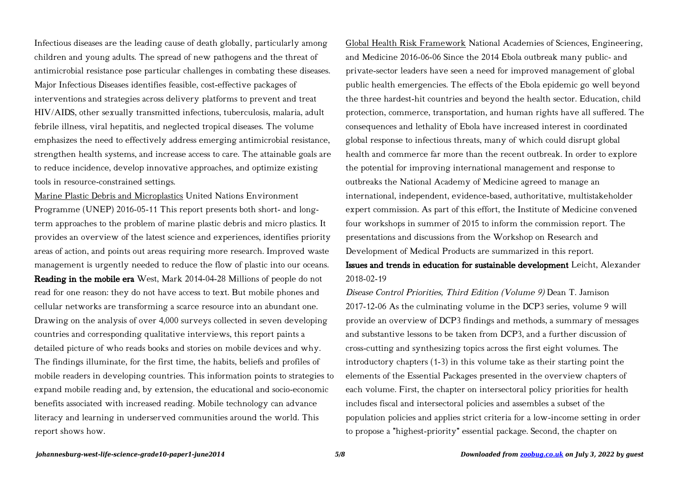Infectious diseases are the leading cause of death globally, particularly among children and young adults. The spread of new pathogens and the threat of antimicrobial resistance pose particular challenges in combating these diseases. Major Infectious Diseases identifies feasible, cost-effective packages of interventions and strategies across delivery platforms to prevent and treat HIV/AIDS, other sexually transmitted infections, tuberculosis, malaria, adult febrile illness, viral hepatitis, and neglected tropical diseases. The volume emphasizes the need to effectively address emerging antimicrobial resistance, strengthen health systems, and increase access to care. The attainable goals are to reduce incidence, develop innovative approaches, and optimize existing tools in resource-constrained settings.

Marine Plastic Debris and Microplastics United Nations Environment Programme (UNEP) 2016-05-11 This report presents both short- and longterm approaches to the problem of marine plastic debris and micro plastics. It provides an overview of the latest science and experiences, identifies priority areas of action, and points out areas requiring more research. Improved waste management is urgently needed to reduce the flow of plastic into our oceans. Reading in the mobile era West, Mark 2014-04-28 Millions of people do not read for one reason: they do not have access to text. But mobile phones and cellular networks are transforming a scarce resource into an abundant one. Drawing on the analysis of over 4,000 surveys collected in seven developing countries and corresponding qualitative interviews, this report paints a detailed picture of who reads books and stories on mobile devices and why. The findings illuminate, for the first time, the habits, beliefs and profiles of mobile readers in developing countries. This information points to strategies to expand mobile reading and, by extension, the educational and socio-economic benefits associated with increased reading. Mobile technology can advance literacy and learning in underserved communities around the world. This report shows how.

Global Health Risk Framework National Academies of Sciences, Engineering, and Medicine 2016-06-06 Since the 2014 Ebola outbreak many public- and private-sector leaders have seen a need for improved management of global public health emergencies. The effects of the Ebola epidemic go well beyond the three hardest-hit countries and beyond the health sector. Education, child protection, commerce, transportation, and human rights have all suffered. The consequences and lethality of Ebola have increased interest in coordinated global response to infectious threats, many of which could disrupt global health and commerce far more than the recent outbreak. In order to explore the potential for improving international management and response to outbreaks the National Academy of Medicine agreed to manage an international, independent, evidence-based, authoritative, multistakeholder expert commission. As part of this effort, the Institute of Medicine convened four workshops in summer of 2015 to inform the commission report. The presentations and discussions from the Workshop on Research and Development of Medical Products are summarized in this report.

Issues and trends in education for sustainable development Leicht, Alexander 2018-02-19

Disease Control Priorities, Third Edition (Volume 9) Dean T. Jamison 2017-12-06 As the culminating volume in the DCP3 series, volume 9 will provide an overview of DCP3 findings and methods, a summary of messages and substantive lessons to be taken from DCP3, and a further discussion of cross-cutting and synthesizing topics across the first eight volumes. The introductory chapters (1-3) in this volume take as their starting point the elements of the Essential Packages presented in the overview chapters of each volume. First, the chapter on intersectoral policy priorities for health includes fiscal and intersectoral policies and assembles a subset of the population policies and applies strict criteria for a low-income setting in order to propose a "highest-priority" essential package. Second, the chapter on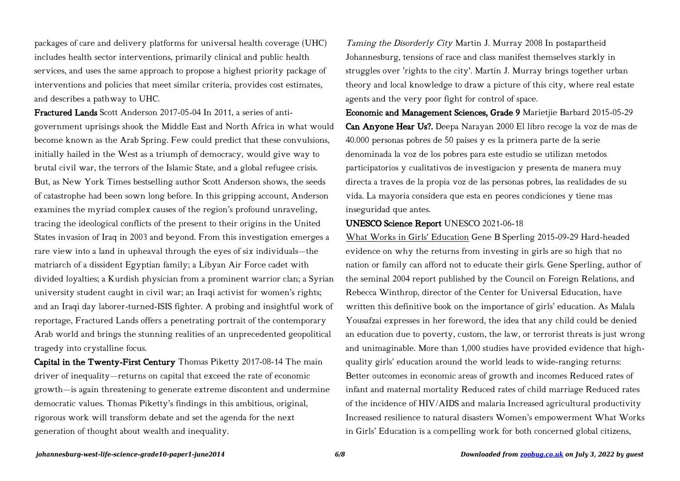packages of care and delivery platforms for universal health coverage (UHC) includes health sector interventions, primarily clinical and public health services, and uses the same approach to propose a highest priority package of interventions and policies that meet similar criteria, provides cost estimates, and describes a pathway to UHC.

Fractured Lands Scott Anderson 2017-05-04 In 2011, a series of antigovernment uprisings shook the Middle East and North Africa in what would become known as the Arab Spring. Few could predict that these convulsions, initially hailed in the West as a triumph of democracy, would give way to brutal civil war, the terrors of the Islamic State, and a global refugee crisis. But, as New York Times bestselling author Scott Anderson shows, the seeds of catastrophe had been sown long before. In this gripping account, Anderson examines the myriad complex causes of the region's profound unraveling, tracing the ideological conflicts of the present to their origins in the United States invasion of Iraq in 2003 and beyond. From this investigation emerges a rare view into a land in upheaval through the eyes of six individuals—the matriarch of a dissident Egyptian family; a Libyan Air Force cadet with divided loyalties; a Kurdish physician from a prominent warrior clan; a Syrian university student caught in civil war; an Iraqi activist for women's rights; and an Iraqi day laborer-turned-ISIS fighter. A probing and insightful work of reportage, Fractured Lands offers a penetrating portrait of the contemporary Arab world and brings the stunning realities of an unprecedented geopolitical tragedy into crystalline focus.

Capital in the Twenty-First Century Thomas Piketty 2017-08-14 The main driver of inequality—returns on capital that exceed the rate of economic growth—is again threatening to generate extreme discontent and undermine democratic values. Thomas Piketty's findings in this ambitious, original, rigorous work will transform debate and set the agenda for the next generation of thought about wealth and inequality.

Taming the Disorderly City Martin J. Murray 2008 In postapartheid Johannesburg, tensions of race and class manifest themselves starkly in struggles over 'rights to the city'. Martin J. Murray brings together urban theory and local knowledge to draw a picture of this city, where real estate agents and the very poor fight for control of space.

Economic and Management Sciences, Grade 9 Marietjie Barbard 2015-05-29 Can Anyone Hear Us?. Deepa Narayan 2000 El libro recoge la voz de mas de 40.000 personas pobres de 50 paises y es la primera parte de la serie denominada la voz de los pobres para este estudio se utilizan metodos participatorios y cualitativos de investigacion y presenta de manera muy directa a traves de la propia voz de las personas pobres, las realidades de su vida. La mayoria considera que esta en peores condiciones y tiene mas inseguridad que antes.

### UNESCO Science Report UNESCO 2021-06-18

What Works in Girls' Education Gene B Sperling 2015-09-29 Hard-headed evidence on why the returns from investing in girls are so high that no nation or family can afford not to educate their girls. Gene Sperling, author of the seminal 2004 report published by the Council on Foreign Relations, and Rebecca Winthrop, director of the Center for Universal Education, have written this definitive book on the importance of girls' education. As Malala Yousafzai expresses in her foreword, the idea that any child could be denied an education due to poverty, custom, the law, or terrorist threats is just wrong and unimaginable. More than 1,000 studies have provided evidence that highquality girls' education around the world leads to wide-ranging returns: Better outcomes in economic areas of growth and incomes Reduced rates of infant and maternal mortality Reduced rates of child marriage Reduced rates of the incidence of HIV/AIDS and malaria Increased agricultural productivity Increased resilience to natural disasters Women's empowerment What Works in Girls' Education is a compelling work for both concerned global citizens,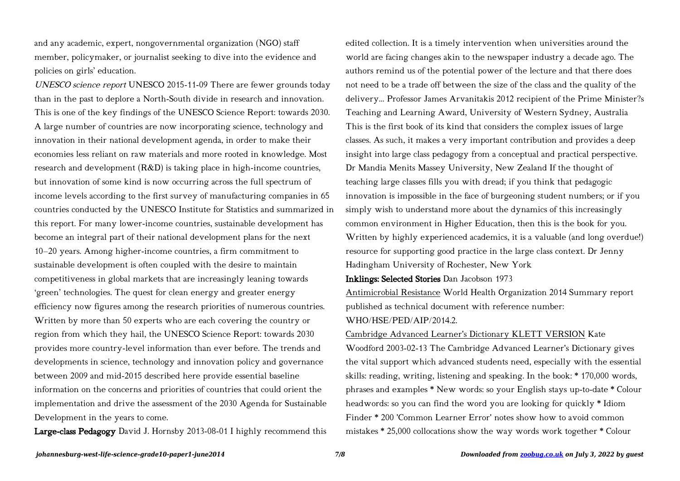and any academic, expert, nongovernmental organization (NGO) staff member, policymaker, or journalist seeking to dive into the evidence and policies on girls' education.

UNESCO science report UNESCO 2015-11-09 There are fewer grounds today than in the past to deplore a North‑South divide in research and innovation. This is one of the key findings of the UNESCO Science Report: towards 2030. A large number of countries are now incorporating science, technology and innovation in their national development agenda, in order to make their economies less reliant on raw materials and more rooted in knowledge. Most research and development (R&D) is taking place in high-income countries, but innovation of some kind is now occurring across the full spectrum of income levels according to the first survey of manufacturing companies in 65 countries conducted by the UNESCO Institute for Statistics and summarized in this report. For many lower-income countries, sustainable development has become an integral part of their national development plans for the next 10–20 years. Among higher-income countries, a firm commitment to sustainable development is often coupled with the desire to maintain competitiveness in global markets that are increasingly leaning towards 'green' technologies. The quest for clean energy and greater energy efficiency now figures among the research priorities of numerous countries. Written by more than 50 experts who are each covering the country or region from which they hail, the UNESCO Science Report: towards 2030 provides more country-level information than ever before. The trends and developments in science, technology and innovation policy and governance between 2009 and mid-2015 described here provide essential baseline information on the concerns and priorities of countries that could orient the implementation and drive the assessment of the 2030 Agenda for Sustainable Development in the years to come.

Large-class Pedagogy David J. Hornsby 2013-08-01 I highly recommend this

edited collection. It is a timely intervention when universities around the world are facing changes akin to the newspaper industry a decade ago. The authors remind us of the potential power of the lecture and that there does not need to be a trade off between the size of the class and the quality of the delivery... Professor James Arvanitakis 2012 recipient of the Prime Minister?s Teaching and Learning Award, University of Western Sydney, Australia This is the first book of its kind that considers the complex issues of large classes. As such, it makes a very important contribution and provides a deep insight into large class pedagogy from a conceptual and practical perspective. Dr Mandia Menits Massey University, New Zealand If the thought of teaching large classes fills you with dread; if you think that pedagogic innovation is impossible in the face of burgeoning student numbers; or if you simply wish to understand more about the dynamics of this increasingly common environment in Higher Education, then this is the book for you. Written by highly experienced academics, it is a valuable (and long overdue!) resource for supporting good practice in the large class context. Dr Jenny Hadingham University of Rochester, New York

Inklings: Selected Stories Dan Jacobson 1973

Antimicrobial Resistance World Health Organization 2014 Summary report published as technical document with reference number: WHO/HSE/PED/AIP/2014.2.

### Cambridge Advanced Learner's Dictionary KLETT VERSION Kate

Woodford 2003-02-13 The Cambridge Advanced Learner's Dictionary gives the vital support which advanced students need, especially with the essential skills: reading, writing, listening and speaking. In the book: \* 170,000 words, phrases and examples \* New words: so your English stays up-to-date \* Colour headwords: so you can find the word you are looking for quickly \* Idiom Finder \* 200 'Common Learner Error' notes show how to avoid common mistakes \* 25,000 collocations show the way words work together \* Colour